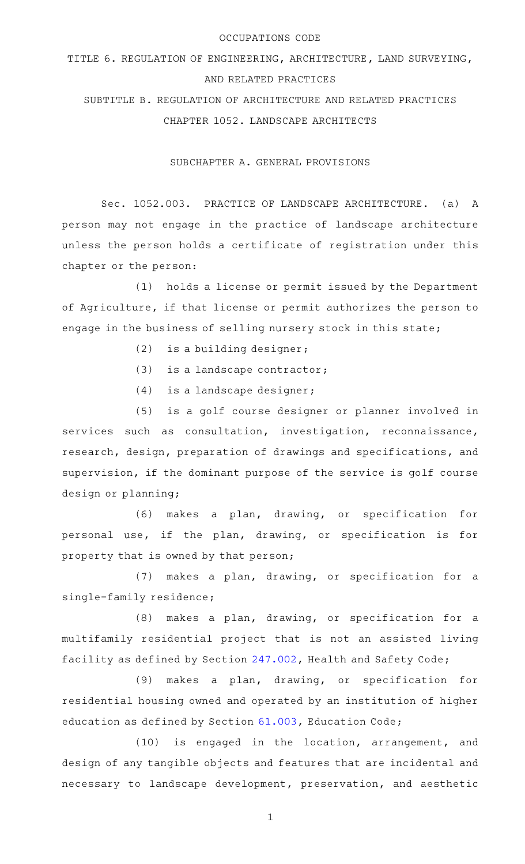#### OCCUPATIONS CODE

# TITLE 6. REGULATION OF ENGINEERING, ARCHITECTURE, LAND SURVEYING, AND RELATED PRACTICES

SUBTITLE B. REGULATION OF ARCHITECTURE AND RELATED PRACTICES CHAPTER 1052. LANDSCAPE ARCHITECTS

SUBCHAPTER A. GENERAL PROVISIONS

Sec. 1052.003. PRACTICE OF LANDSCAPE ARCHITECTURE. (a) A person may not engage in the practice of landscape architecture unless the person holds a certificate of registration under this chapter or the person:

(1) holds a license or permit issued by the Department of Agriculture, if that license or permit authorizes the person to engage in the business of selling nursery stock in this state;

- $(2)$  is a building designer;
- (3) is a landscape contractor;
- $(4)$  is a landscape designer;

(5) is a golf course designer or planner involved in services such as consultation, investigation, reconnaissance, research, design, preparation of drawings and specifications, and supervision, if the dominant purpose of the service is golf course design or planning;

(6) makes a plan, drawing, or specification for personal use, if the plan, drawing, or specification is for property that is owned by that person;

(7) makes a plan, drawing, or specification for a single-family residence;

 $(8)$  makes a plan, drawing, or specification for a multifamily residential project that is not an assisted living facility as defined by Section [247.002](http://www.statutes.legis.state.tx.us/GetStatute.aspx?Code=HS&Value=247.002), Health and Safety Code;

(9) makes a plan, drawing, or specification for residential housing owned and operated by an institution of higher education as defined by Section [61.003](http://www.statutes.legis.state.tx.us/GetStatute.aspx?Code=ED&Value=61.003), Education Code;

(10) is engaged in the location, arrangement, and design of any tangible objects and features that are incidental and necessary to landscape development, preservation, and aesthetic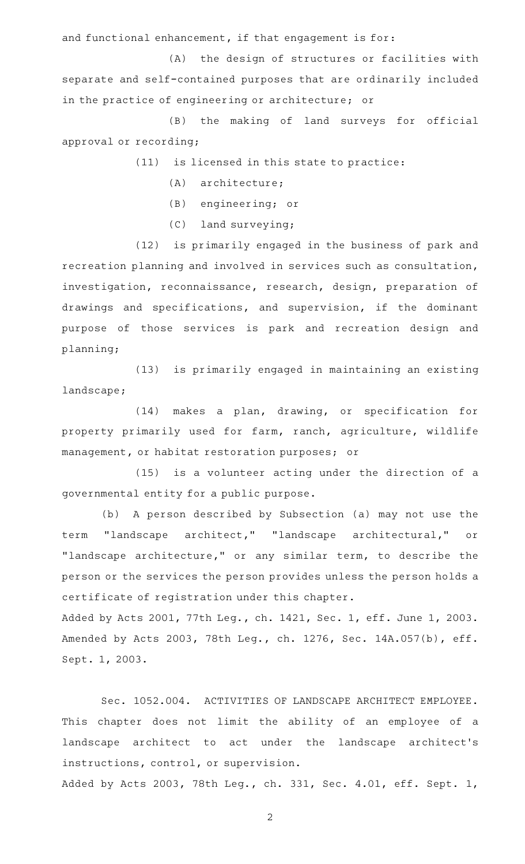and functional enhancement, if that engagement is for:

(A) the design of structures or facilities with separate and self-contained purposes that are ordinarily included in the practice of engineering or architecture; or

(B) the making of land surveys for official approval or recording;

 $(11)$  is licensed in this state to practice:

- (A) architecture;
- (B) engineering; or
- $(C)$  land surveying;

(12) is primarily engaged in the business of park and recreation planning and involved in services such as consultation, investigation, reconnaissance, research, design, preparation of drawings and specifications, and supervision, if the dominant purpose of those services is park and recreation design and planning;

(13) is primarily engaged in maintaining an existing landscape;

(14) makes a plan, drawing, or specification for property primarily used for farm, ranch, agriculture, wildlife management, or habitat restoration purposes; or

 $(15)$  is a volunteer acting under the direction of a governmental entity for a public purpose.

(b) A person described by Subsection (a) may not use the term "landscape architect," "landscape architectural," or "landscape architecture," or any similar term, to describe the person or the services the person provides unless the person holds a certificate of registration under this chapter.

Added by Acts 2001, 77th Leg., ch. 1421, Sec. 1, eff. June 1, 2003. Amended by Acts 2003, 78th Leg., ch. 1276, Sec. 14A.057(b), eff. Sept. 1, 2003.

Sec. 1052.004. ACTIVITIES OF LANDSCAPE ARCHITECT EMPLOYEE. This chapter does not limit the ability of an employee of a landscape architect to act under the landscape architect 's instructions, control, or supervision.

Added by Acts 2003, 78th Leg., ch. 331, Sec. 4.01, eff. Sept. 1,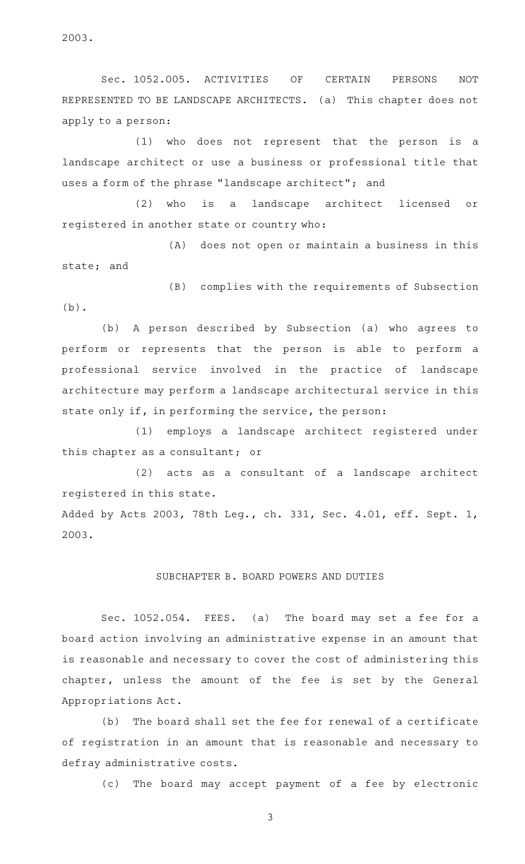2003.

Sec. 1052.005. ACTIVITIES OF CERTAIN PERSONS NOT REPRESENTED TO BE LANDSCAPE ARCHITECTS. (a) This chapter does not apply to a person:

(1) who does not represent that the person is a landscape architect or use a business or professional title that uses a form of the phrase "landscape architect"; and

(2) who is a landscape architect licensed or registered in another state or country who:

(A) does not open or maintain a business in this state; and

(B) complies with the requirements of Subsection (b).

(b) A person described by Subsection (a) who agrees to perform or represents that the person is able to perform a professional service involved in the practice of landscape architecture may perform a landscape architectural service in this state only if, in performing the service, the person:

(1) employs a landscape architect registered under this chapter as a consultant; or

(2) acts as a consultant of a landscape architect registered in this state.

Added by Acts 2003, 78th Leg., ch. 331, Sec. 4.01, eff. Sept. 1, 2003.

### SUBCHAPTER B. BOARD POWERS AND DUTIES

Sec. 1052.054. FEES. (a) The board may set a fee for a board action involving an administrative expense in an amount that is reasonable and necessary to cover the cost of administering this chapter, unless the amount of the fee is set by the General Appropriations Act.

(b) The board shall set the fee for renewal of a certificate of registration in an amount that is reasonable and necessary to defray administrative costs.

(c) The board may accept payment of a fee by electronic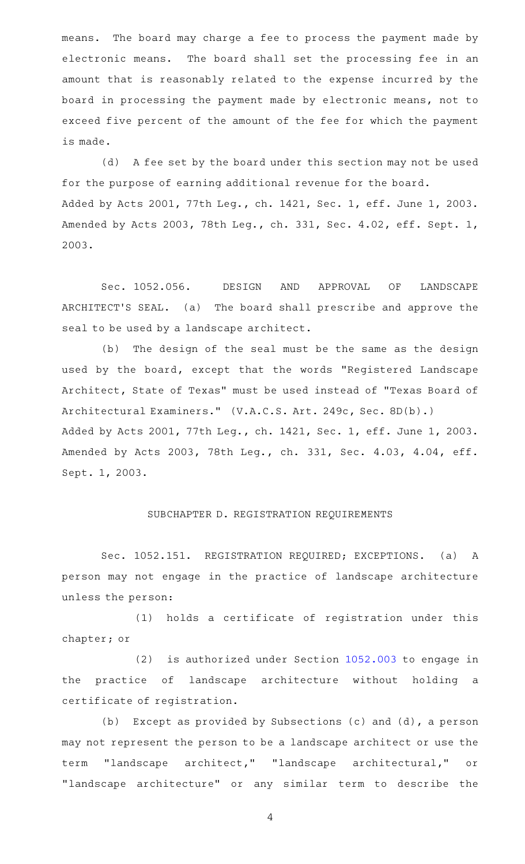means. The board may charge a fee to process the payment made by electronic means. The board shall set the processing fee in an amount that is reasonably related to the expense incurred by the board in processing the payment made by electronic means, not to exceed five percent of the amount of the fee for which the payment is made.

(d) A fee set by the board under this section may not be used for the purpose of earning additional revenue for the board. Added by Acts 2001, 77th Leg., ch. 1421, Sec. 1, eff. June 1, 2003. Amended by Acts 2003, 78th Leg., ch. 331, Sec. 4.02, eff. Sept. 1, 2003.

Sec. 1052.056. DESIGN AND APPROVAL OF LANDSCAPE ARCHITECT 'S SEAL. (a) The board shall prescribe and approve the seal to be used by a landscape architect.

(b) The design of the seal must be the same as the design used by the board, except that the words "Registered Landscape Architect, State of Texas" must be used instead of "Texas Board of Architectural Examiners." (V.A.C.S. Art. 249c, Sec. 8D(b).) Added by Acts 2001, 77th Leg., ch. 1421, Sec. 1, eff. June 1, 2003. Amended by Acts 2003, 78th Leg., ch. 331, Sec. 4.03, 4.04, eff. Sept. 1, 2003.

### SUBCHAPTER D. REGISTRATION REQUIREMENTS

Sec. 1052.151. REGISTRATION REQUIRED; EXCEPTIONS. (a) A person may not engage in the practice of landscape architecture unless the person:

(1) holds a certificate of registration under this chapter; or

 $(2)$  is authorized under Section [1052.003](http://www.statutes.legis.state.tx.us/GetStatute.aspx?Code=OC&Value=1052.003) to engage in the practice of landscape architecture without holding a certificate of registration.

(b) Except as provided by Subsections (c) and (d), a person may not represent the person to be a landscape architect or use the term "landscape architect," "landscape architectural," or "landscape architecture" or any similar term to describe the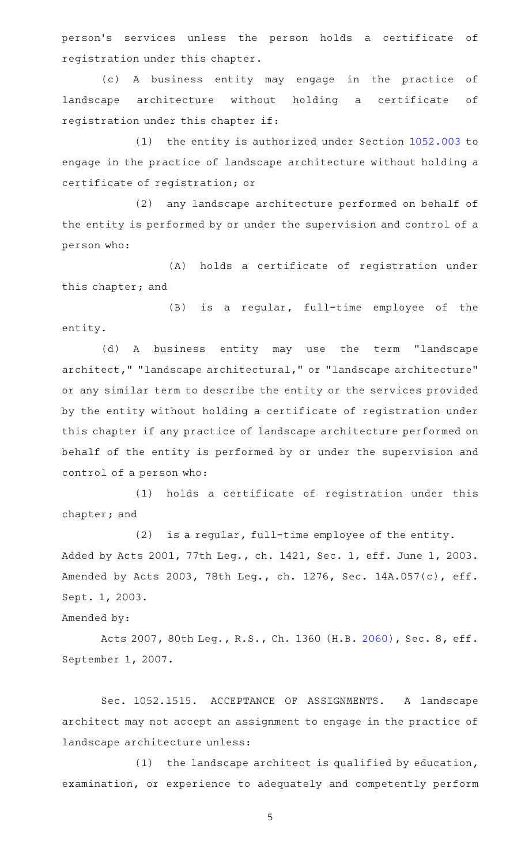person 's services unless the person holds a certificate of registration under this chapter.

(c)AAA business entity may engage in the practice of landscape architecture without holding a certificate of registration under this chapter if:

(1) the entity is authorized under Section [1052.003](http://www.statutes.legis.state.tx.us/GetStatute.aspx?Code=OC&Value=1052.003) to engage in the practice of landscape architecture without holding a certificate of registration; or

(2) any landscape architecture performed on behalf of the entity is performed by or under the supervision and control of a person who:

(A) holds a certificate of registration under this chapter; and

(B) is a regular, full-time employee of the entity.

(d)AAA business entity may use the term "landscape architect," "landscape architectural," or "landscape architecture" or any similar term to describe the entity or the services provided by the entity without holding a certificate of registration under this chapter if any practice of landscape architecture performed on behalf of the entity is performed by or under the supervision and control of a person who:

(1) holds a certificate of registration under this chapter; and

 $(2)$  is a regular, full-time employee of the entity. Added by Acts 2001, 77th Leg., ch. 1421, Sec. 1, eff. June 1, 2003. Amended by Acts 2003, 78th Leg., ch. 1276, Sec. 14A.057(c), eff. Sept. 1, 2003.

Amended by:

Acts 2007, 80th Leg., R.S., Ch. 1360 (H.B. [2060](http://www.legis.state.tx.us/tlodocs/80R/billtext/html/HB02060F.HTM)), Sec. 8, eff. September 1, 2007.

Sec. 1052.1515. ACCEPTANCE OF ASSIGNMENTS. A landscape architect may not accept an assignment to engage in the practice of landscape architecture unless:

(1) the landscape architect is qualified by education, examination, or experience to adequately and competently perform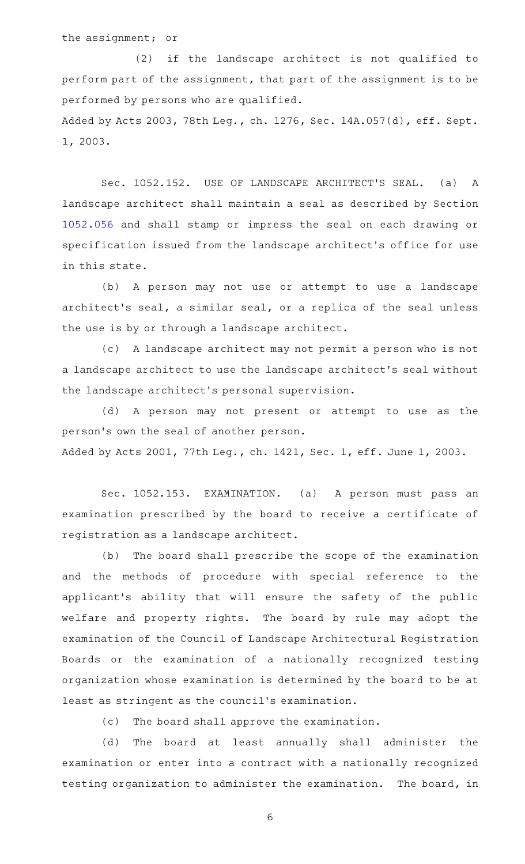the assignment; or

(2) if the landscape architect is not qualified to perform part of the assignment, that part of the assignment is to be performed by persons who are qualified.

Added by Acts 2003, 78th Leg., ch. 1276, Sec. 14A.057(d), eff. Sept. 1, 2003.

Sec. 1052.152. USE OF LANDSCAPE ARCHITECT'S SEAL. (a) A landscape architect shall maintain a seal as described by Section [1052.056](http://www.statutes.legis.state.tx.us/GetStatute.aspx?Code=OC&Value=1052.056) and shall stamp or impress the seal on each drawing or specification issued from the landscape architect 's office for use in this state.

(b) A person may not use or attempt to use a landscape architect 's seal, a similar seal, or a replica of the seal unless the use is by or through a landscape architect.

(c) A landscape architect may not permit a person who is not a landscape architect to use the landscape architect 's seal without the landscape architect 's personal supervision.

(d) A person may not present or attempt to use as the person 's own the seal of another person. Added by Acts 2001, 77th Leg., ch. 1421, Sec. 1, eff. June 1, 2003.

Sec. 1052.153. EXAMINATION. (a) A person must pass an examination prescribed by the board to receive a certificate of registration as a landscape architect.

(b) The board shall prescribe the scope of the examination and the methods of procedure with special reference to the applicant 's ability that will ensure the safety of the public welfare and property rights. The board by rule may adopt the examination of the Council of Landscape Architectural Registration Boards or the examination of a nationally recognized testing organization whose examination is determined by the board to be at least as stringent as the council 's examination.

(c) The board shall approve the examination.

(d) The board at least annually shall administer the examination or enter into a contract with a nationally recognized testing organization to administer the examination. The board, in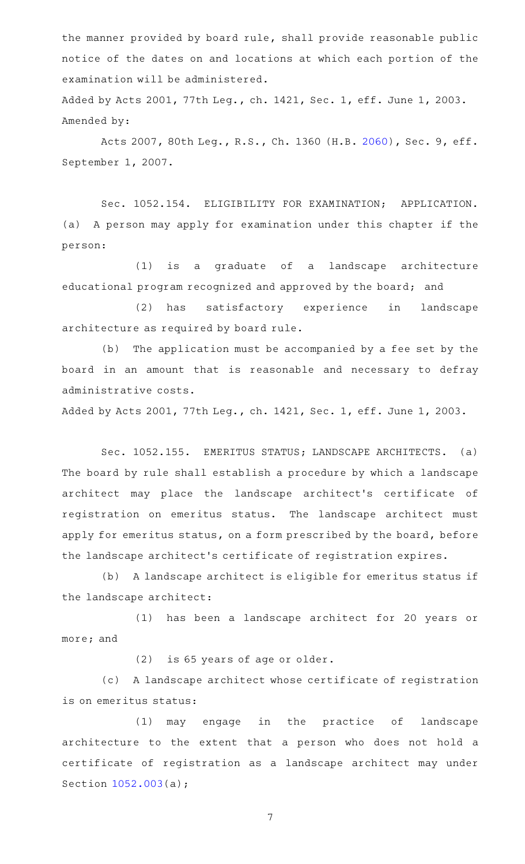the manner provided by board rule, shall provide reasonable public notice of the dates on and locations at which each portion of the examination will be administered.

Added by Acts 2001, 77th Leg., ch. 1421, Sec. 1, eff. June 1, 2003. Amended by:

Acts 2007, 80th Leg., R.S., Ch. 1360 (H.B. [2060](http://www.legis.state.tx.us/tlodocs/80R/billtext/html/HB02060F.HTM)), Sec. 9, eff. September 1, 2007.

Sec. 1052.154. ELIGIBILITY FOR EXAMINATION; APPLICATION. (a) A person may apply for examination under this chapter if the person:

(1) is a graduate of a landscape architecture educational program recognized and approved by the board; and

(2) has satisfactory experience in landscape architecture as required by board rule.

(b) The application must be accompanied by a fee set by the board in an amount that is reasonable and necessary to defray administrative costs.

Added by Acts 2001, 77th Leg., ch. 1421, Sec. 1, eff. June 1, 2003.

Sec. 1052.155. EMERITUS STATUS; LANDSCAPE ARCHITECTS. (a) The board by rule shall establish a procedure by which a landscape architect may place the landscape architect's certificate of registration on emeritus status. The landscape architect must apply for emeritus status, on a form prescribed by the board, before the landscape architect 's certificate of registration expires.

(b) A landscape architect is eligible for emeritus status if the landscape architect:

(1) has been a landscape architect for 20 years or more; and

(2) is 65 years of age or older.

(c) A landscape architect whose certificate of registration is on emeritus status:

(1) may engage in the practice of landscape architecture to the extent that a person who does not hold a certificate of registration as a landscape architect may under Section [1052.003](http://www.statutes.legis.state.tx.us/GetStatute.aspx?Code=OC&Value=1052.003)(a);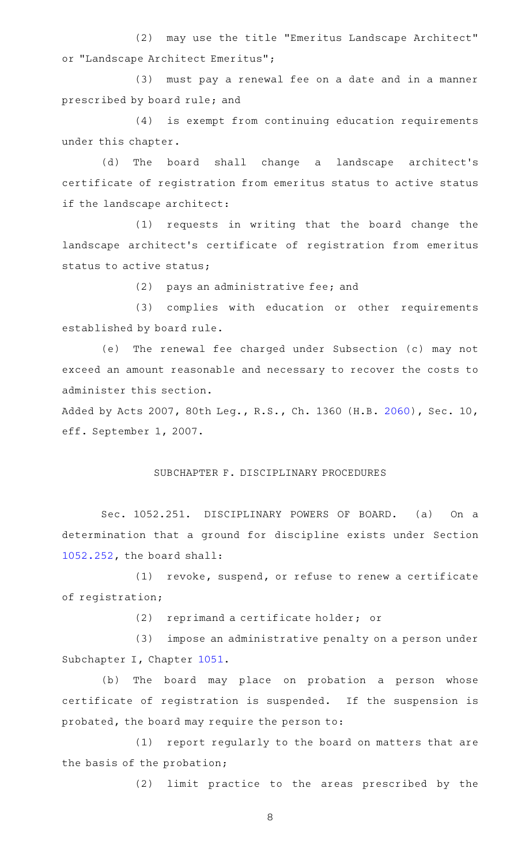(2) may use the title "Emeritus Landscape Architect" or "Landscape Architect Emeritus";

(3) must pay a renewal fee on a date and in a manner prescribed by board rule; and

(4) is exempt from continuing education requirements under this chapter.

(d) The board shall change a landscape architect's certificate of registration from emeritus status to active status if the landscape architect:

(1) requests in writing that the board change the landscape architect 's certificate of registration from emeritus status to active status;

(2) pays an administrative fee; and

(3) complies with education or other requirements established by board rule.

(e) The renewal fee charged under Subsection (c) may not exceed an amount reasonable and necessary to recover the costs to administer this section.

Added by Acts 2007, 80th Leg., R.S., Ch. 1360 (H.B. [2060](http://www.legis.state.tx.us/tlodocs/80R/billtext/html/HB02060F.HTM)), Sec. 10, eff. September 1, 2007.

## SUBCHAPTER F. DISCIPLINARY PROCEDURES

Sec. 1052.251. DISCIPLINARY POWERS OF BOARD. (a) On a determination that a ground for discipline exists under Section [1052.252](http://www.statutes.legis.state.tx.us/GetStatute.aspx?Code=OC&Value=1052.252), the board shall:

 $(1)$  revoke, suspend, or refuse to renew a certificate of registration;

 $(2)$  reprimand a certificate holder; or

(3) impose an administrative penalty on a person under Subchapter I, Chapter [1051.](http://www.statutes.legis.state.tx.us/GetStatute.aspx?Code=OC&Value=1051)

(b) The board may place on probation a person whose certificate of registration is suspended. If the suspension is probated, the board may require the person to:

(1) report regularly to the board on matters that are the basis of the probation;

(2) limit practice to the areas prescribed by the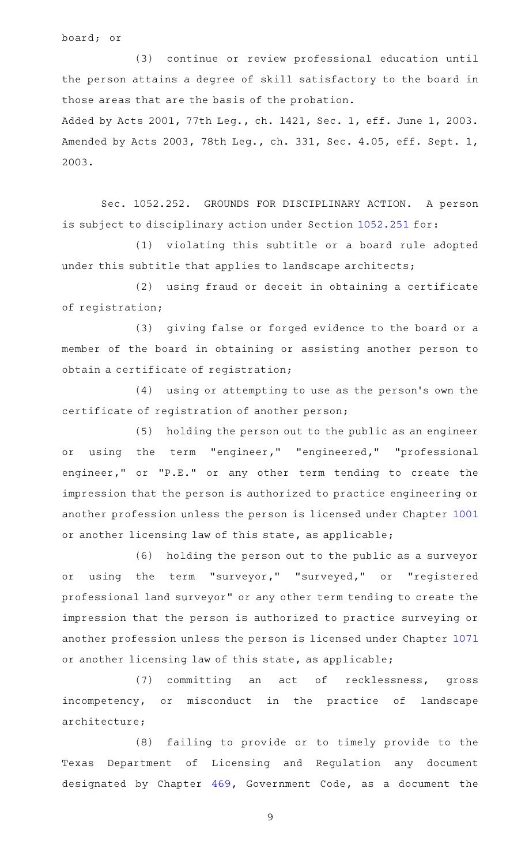board; or

(3) continue or review professional education until the person attains a degree of skill satisfactory to the board in those areas that are the basis of the probation. Added by Acts 2001, 77th Leg., ch. 1421, Sec. 1, eff. June 1, 2003.

Amended by Acts 2003, 78th Leg., ch. 331, Sec. 4.05, eff. Sept. 1, 2003.

Sec. 1052.252. GROUNDS FOR DISCIPLINARY ACTION. A person is subject to disciplinary action under Section [1052.251](http://www.statutes.legis.state.tx.us/GetStatute.aspx?Code=OC&Value=1052.251) for:

(1) violating this subtitle or a board rule adopted under this subtitle that applies to landscape architects;

(2) using fraud or deceit in obtaining a certificate of registration;

(3) giving false or forged evidence to the board or a member of the board in obtaining or assisting another person to obtain a certificate of registration;

(4) using or attempting to use as the person's own the certificate of registration of another person;

(5) holding the person out to the public as an engineer or using the term "engineer," "engineered," "professional engineer," or "P.E." or any other term tending to create the impression that the person is authorized to practice engineering or another profession unless the person is licensed under Chapter [1001](http://www.statutes.legis.state.tx.us/GetStatute.aspx?Code=OC&Value=1001) or another licensing law of this state, as applicable;

(6) holding the person out to the public as a surveyor or using the term "surveyor," "surveyed," or "registered professional land surveyor" or any other term tending to create the impression that the person is authorized to practice surveying or another profession unless the person is licensed under Chapter [1071](http://www.statutes.legis.state.tx.us/GetStatute.aspx?Code=OC&Value=1071) or another licensing law of this state, as applicable;

(7) committing an act of recklessness, gross incompetency, or misconduct in the practice of landscape architecture;

(8) failing to provide or to timely provide to the Texas Department of Licensing and Regulation any document designated by Chapter [469](http://www.statutes.legis.state.tx.us/GetStatute.aspx?Code=GV&Value=469), Government Code, as a document the